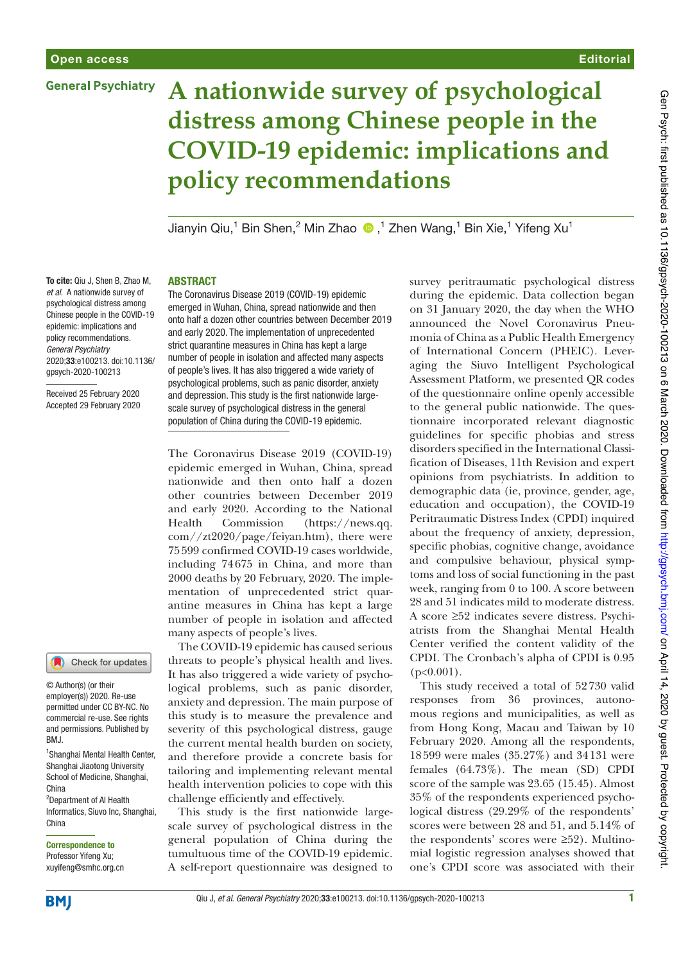# **General Psychiatry**



# **A nationwide survey of psychological distress among Chinese people in the COVID-19 epidemic: implications and policy recommendations**

Jianyin Qiu,<sup>1</sup> Bin Shen,<sup>2</sup> Min Zhao  $\bigcirc$  ,<sup>1</sup> Zhen Wang,<sup>1</sup> Bin Xie,<sup>1</sup> Yifeng Xu<sup>1</sup>

To cite: Qiu J, Shen B, Zhao M, et al. A nationwide survey of psychological distress among Chinese people in the COVID-19 epidemic: implications and policy recommendations. General Psychiatry 2020;33:e100213. doi:10.1136/ gpsych-2020-100213

Received 25 February 2020 Accepted 29 February 2020



© Author(s) (or their employer(s)) 2020. Re-use permitted under CC BY-NC. No commercial re-use. See rights and permissions. Published by BMJ.

1 Shanghai Mental Health Center, Shanghai Jiaotong University School of Medicine, Shanghai, China

<sup>2</sup>Department of AI Health Informatics, Siuvo Inc, Shanghai, China

# Correspondence to Professor Yifeng Xu;

xuyifeng@smhc.org.cn

## ABSTRACT

The Coronavirus Disease 2019 (COVID-19) epidemic emerged in Wuhan, China, spread nationwide and then onto half a dozen other countries between December 2019 and early 2020. The implementation of unprecedented strict quarantine measures in China has kept a large number of people in isolation and affected many aspects of people's lives. It has also triggered a wide variety of psychological problems, such as panic disorder, anxiety and depression. This study is the first nationwide largescale survey of psychological distress in the general population of China during the COVID-19 epidemic.

The Coronavirus Disease 2019 (COVID-19) epidemic emerged in Wuhan, China, spread nationwide and then onto half a dozen other countries between December 2019 and early 2020. According to the National Health Commission (https://news.qq. com//zt2020/page/feiyan.htm), there were 75599 confirmed COVID-19 cases worldwide, including 74675 in China, and more than 2000 deaths by 20 February, 2020. The implementation of unprecedented strict quarantine measures in China has kept a large number of people in isolation and affected many aspects of people's lives.

The COVID-19 epidemic has caused serious threats to people's physical health and lives. It has also triggered a wide variety of psychological problems, such as panic disorder, anxiety and depression. The main purpose of this study is to measure the prevalence and severity of this psychological distress, gauge the current mental health burden on society, and therefore provide a concrete basis for tailoring and implementing relevant mental health intervention policies to cope with this challenge efficiently and effectively.

This study is the first nationwide largescale survey of psychological distress in the general population of China during the tumultuous time of the COVID-19 epidemic. A self-report questionnaire was designed to

survey peritraumatic psychological distress during the epidemic. Data collection began on 31 January 2020, the day when the WHO announced the Novel Coronavirus Pneumonia of China as a Public Health Emergency of International Concern (PHEIC). Leveraging the Siuvo Intelligent Psychological Assessment Platform, we presented QR codes of the questionnaire online openly accessible to the general public nationwide. The questionnaire incorporated relevant diagnostic guidelines for specific phobias and stress disorders specified in the International Classification of Diseases, 11th Revision and expert opinions from psychiatrists. In addition to demographic data (ie, province, gender, age, education and occupation), the COVID-19 Peritraumatic Distress Index (CPDI) inquired about the frequency of anxiety, depression, specific phobias, cognitive change, avoidance and compulsive behaviour, physical symptoms and loss of social functioning in the past week, ranging from 0 to 100. A score between 28 and 51 indicates mild to moderate distress. A score ≥52 indicates severe distress. Psychiatrists from the Shanghai Mental Health Center verified the content validity of the CPDI. The Cronbach's alpha of CPDI is 0.95  $(p<0.001)$ .

This study received a total of 52730 valid responses from 36 provinces, autonomous regions and municipalities, as well as from Hong Kong, Macau and Taiwan by 10 February 2020. Among all the respondents, 18599 were males (35.27%) and 34131 were females (64.73%). The mean (SD) CPDI score of the sample was 23.65 (15.45). Almost 35% of the respondents experienced psychological distress (29.29% of the respondents' scores were between 28 and 51, and 5.14% of the respondents' scores were ≥52). Multinomial logistic regression analyses showed that one's CPDI score was associated with their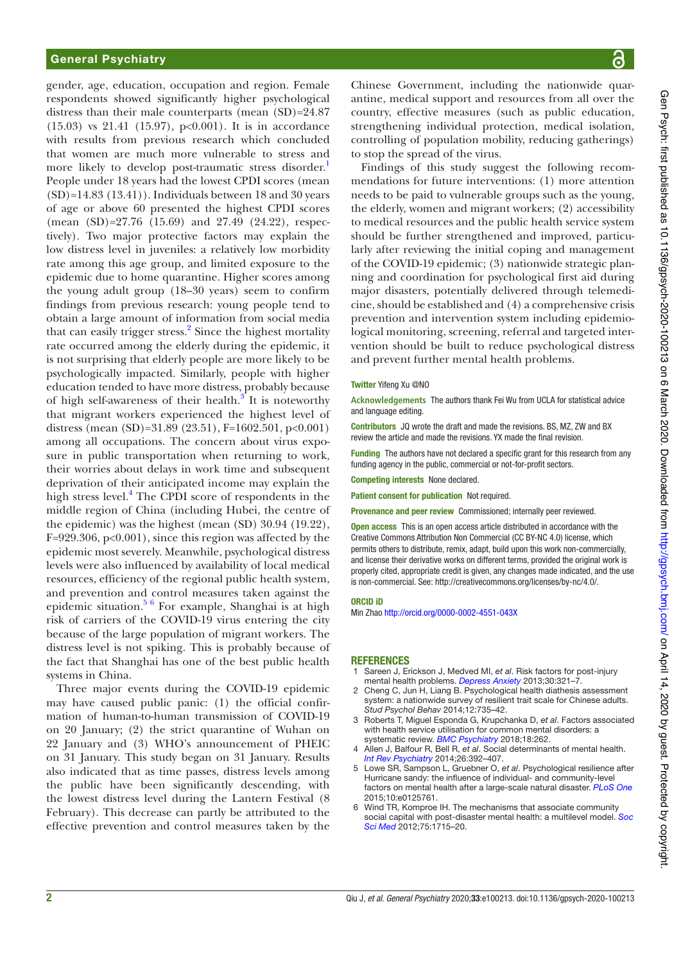## General Psychiatry

gender, age, education, occupation and region. Female respondents showed significantly higher psychological distress than their male counterparts (mean  $(SD)=24.87$ (15.03) vs 21.41 (15.97), p<0.001). It is in accordance with results from previous research which concluded that women are much more vulnerable to stress and more likely to develop post-traumatic stress disorder.<sup>1</sup> People under 18 years had the lowest CPDI scores (mean  $(SD)=14.83$   $(13.41)$ . Individuals between 18 and 30 years of age or above 60 presented the highest CPDI scores (mean (SD)=27.76 (15.69) and 27.49 (24.22), respectively). Two major protective factors may explain the low distress level in juveniles: a relatively low morbidity rate among this age group, and limited exposure to the epidemic due to home quarantine. Higher scores among the young adult group (18–30 years) seem to confirm findings from previous research: young people tend to obtain a large amount of information from social media that can easily trigger stress.<sup>2</sup> Since the highest mortality rate occurred among the elderly during the epidemic, it is not surprising that elderly people are more likely to be psychologically impacted. Similarly, people with higher education tended to have more distress, probably because of high self-awareness of their health. $3^{\circ}$  It is noteworthy that migrant workers experienced the highest level of distress (mean (SD)=31.89 (23.51), F=1602.501, p<0.001) among all occupations. The concern about virus exposure in public transportation when returning to work, their worries about delays in work time and subsequent deprivation of their anticipated income may explain the high stress level.<sup>4</sup> The CPDI score of respondents in the middle region of China (including Hubei, the centre of the epidemic) was the highest (mean (SD) 30.94 (19.22), F=929.306, p<0.001), since this region was affected by the epidemic most severely. Meanwhile, psychological distress levels were also influenced by availability of local medical resources, efficiency of the regional public health system, and prevention and control measures taken against the epidemic situation.5 6 For example, Shanghai is at high risk of carriers of the COVID-19 virus entering the city because of the large population of migrant workers. The distress level is not spiking. This is probably because of the fact that Shanghai has one of the best public health systems in China.

Three major events during the COVID-19 epidemic may have caused public panic: (1) the official confirmation of human-to-human transmission of COVID-19 on 20 January; (2) the strict quarantine of Wuhan on 22 January and (3) WHO's announcement of PHEIC on 31 January. This study began on 31 January. Results also indicated that as time passes, distress levels among the public have been significantly descending, with the lowest distress level during the Lantern Festival (8 February). This decrease can partly be attributed to the effective prevention and control measures taken by the

Chinese Government, including the nationwide quarantine, medical support and resources from all over the country, effective measures (such as public education, strengthening individual protection, medical isolation, controlling of population mobility, reducing gatherings) to stop the spread of the virus.

Findings of this study suggest the following recommendations for future interventions: (1) more attention needs to be paid to vulnerable groups such as the young, the elderly, women and migrant workers; (2) accessibility to medical resources and the public health service system should be further strengthened and improved, particularly after reviewing the initial coping and management of the COVID-19 epidemic; (3) nationwide strategic planning and coordination for psychological first aid during major disasters, potentially delivered through telemedicine, should be established and (4) a comprehensive crisis prevention and intervention system including epidemiological monitoring, screening, referral and targeted intervention should be built to reduce psychological distress and prevent further mental health problems.

### Twitter Yifeng Xu @NO

**Acknowledgements** The authors thank Fei Wu from UCLA for statistical advice and language editing.

Contributors JQ wrote the draft and made the revisions. BS, MZ, ZW and BX review the article and made the revisions. YX made the fnal revision.

**Funding** The authors have not declared a specific grant for this research from any funding agency in the public, commercial or not-for-profit sectors.

Competing interests None declared.

Patient consent for publication Not required.

Provenance and peer review Commissioned; internally peer reviewed.

Open access This is an open access article distributed in accordance with the Creative Commons Attribution Non Commercial (CC BY-NC 4.0) license, which permits others to distribute, remix, adapt, build upon this work non-commercially, and license their derivative works on different terms, provided the original work is properly cited, appropriate credit is given, any changes made indicated, and the use is non-commercial. See: http://creativecommons.org/licenses/by-nc/4.0/.

#### ORCID iD

Min Zhao http://orcid.org/0000-0002-4551-043X

#### **REFERENCES**

- 1 Sareen J, Erickson J, Medved MI, et al. Risk factors for post-injury mental health problems. Depress Anxiety 2013:30:321-7.
- 2 Cheng C, Jun H, Liang B. Psychological health diathesis assessment system: a nationwide survey of resilient trait scale for Chinese adults. Stud Psychol Behav 2014;12:735–42.
- 3 Roberts T, Miguel Esponda G, Krupchanka D, et al. Factors associated with health service utilisation for common mental disorders: a systematic review. BMC Psychiatry 2018;18:262.
- 4 Allen J, Balfour R, Bell R, et al. Social determinants of mental health. Int Rev Psychiatry 2014;26:392–407.
- 5 Lowe SR, Sampson L, Gruebner O, et al. Psychological resilience after Hurricane sandy: the infuence of individual- and community-level factors on mental health after a large-scale natural disaster. PLoS One 2015;10:e0125761.
- 6 Wind TR, Komproe IH. The mechanisms that associate community social capital with post-disaster mental health: a multilevel model. Soc Sci Med 2012;75:1715–20.